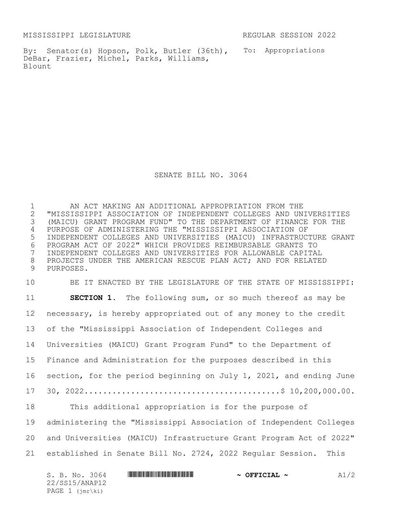MISSISSIPPI LEGISLATURE REGULAR SESSION 2022

By: Senator(s) Hopson, Polk, Butler (36th), To: Appropriations DeBar, Frazier, Michel, Parks, Williams, Blount

SENATE BILL NO. 3064

 AN ACT MAKING AN ADDITIONAL APPROPRIATION FROM THE "MISSISSIPPI ASSOCIATION OF INDEPENDENT COLLEGES AND UNIVERSITIES (MAICU) GRANT PROGRAM FUND" TO THE DEPARTMENT OF FINANCE FOR THE PURPOSE OF ADMINISTERING THE "MISSISSIPPI ASSOCIATION OF INDEPENDENT COLLEGES AND UNIVERSITIES (MAICU) INFRASTRUCTURE GRANT PROGRAM ACT OF 2022" WHICH PROVIDES REIMBURSABLE GRANTS TO INDEPENDENT COLLEGES AND UNIVERSITIES FOR ALLOWABLE CAPITAL PROJECTS UNDER THE AMERICAN RESCUE PLAN ACT; AND FOR RELATED PURPOSES.

 BE IT ENACTED BY THE LEGISLATURE OF THE STATE OF MISSISSIPPI: **SECTION 1.** The following sum, or so much thereof as may be necessary, is hereby appropriated out of any money to the credit of the "Mississippi Association of Independent Colleges and Universities (MAICU) Grant Program Fund" to the Department of Finance and Administration for the purposes described in this section, for the period beginning on July 1, 2021, and ending June 30, 2022..........................................\$ 10,200,000.00. This additional appropriation is for the purpose of administering the "Mississippi Association of Independent Colleges and Universities (MAICU) Infrastructure Grant Program Act of 2022" established in Senate Bill No. 2724, 2022 Regular Session. This

| S. B. No. 3064  | $\sim$ OFFICIAL $\sim$ | A1/2 |
|-----------------|------------------------|------|
| 22/SS15/ANAP12  |                        |      |
| PAGE 1 (jmr\ki) |                        |      |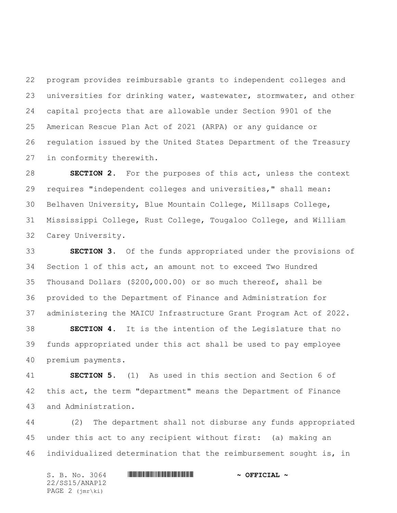program provides reimbursable grants to independent colleges and universities for drinking water, wastewater, stormwater, and other capital projects that are allowable under Section 9901 of the American Rescue Plan Act of 2021 (ARPA) or any guidance or regulation issued by the United States Department of the Treasury in conformity therewith.

 **SECTION 2.** For the purposes of this act, unless the context requires "independent colleges and universities," shall mean: Belhaven University, Blue Mountain College, Millsaps College, Mississippi College, Rust College, Tougaloo College, and William Carey University.

 **SECTION 3.** Of the funds appropriated under the provisions of Section 1 of this act, an amount not to exceed Two Hundred Thousand Dollars (\$200,000.00) or so much thereof, shall be provided to the Department of Finance and Administration for administering the MAICU Infrastructure Grant Program Act of 2022.

 **SECTION 4.** It is the intention of the Legislature that no funds appropriated under this act shall be used to pay employee premium payments.

 **SECTION 5.** (1) As used in this section and Section 6 of this act, the term "department" means the Department of Finance and Administration.

 (2) The department shall not disburse any funds appropriated under this act to any recipient without first: (a) making an individualized determination that the reimbursement sought is, in

S. B. No. 3064 **\*\*\* ANAPTEMIC ANAPTEMIC ANAPTEMIC ANAPTEMIC ANAPTEMIC ANAPTEMIC ANAPTEMIC ANAPTEMIC ANAPTEMIC ANAPTEMIC ANAPTEMIC AND**  $\sim$  **OFFICIAL**  $\sim$ 22/SS15/ANAP12 PAGE 2 (jmr\ki)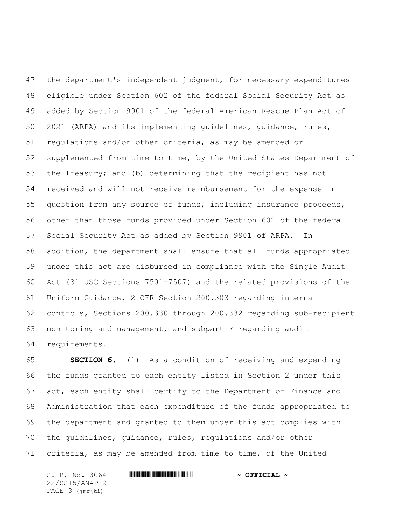the department's independent judgment, for necessary expenditures eligible under Section 602 of the federal Social Security Act as added by Section 9901 of the federal American Rescue Plan Act of 2021 (ARPA) and its implementing guidelines, guidance, rules, regulations and/or other criteria, as may be amended or supplemented from time to time, by the United States Department of the Treasury; and (b) determining that the recipient has not received and will not receive reimbursement for the expense in question from any source of funds, including insurance proceeds, other than those funds provided under Section 602 of the federal Social Security Act as added by Section 9901 of ARPA. In addition, the department shall ensure that all funds appropriated under this act are disbursed in compliance with the Single Audit Act (31 USC Sections 7501-7507) and the related provisions of the Uniform Guidance, 2 CFR Section 200.303 regarding internal controls, Sections 200.330 through 200.332 regarding sub-recipient monitoring and management, and subpart F regarding audit requirements.

 **SECTION 6.** (1) As a condition of receiving and expending the funds granted to each entity listed in Section 2 under this act, each entity shall certify to the Department of Finance and Administration that each expenditure of the funds appropriated to the department and granted to them under this act complies with the guidelines, guidance, rules, regulations and/or other criteria, as may be amended from time to time, of the United

S. B. No. 3064 **\*\*\* ANAPTEMIC ANAPTEMIC ANAPTEMIC ANAPTEMIC ANAPTEMIC ANAPTEMIC ANAPTEMIC ANAPTEMIC ANAPTEMIC ANAPTEMIC ANAPTEMIC AND**  $\sim$  **OFFICIAL**  $\sim$ 22/SS15/ANAP12 PAGE 3 (jmr\ki)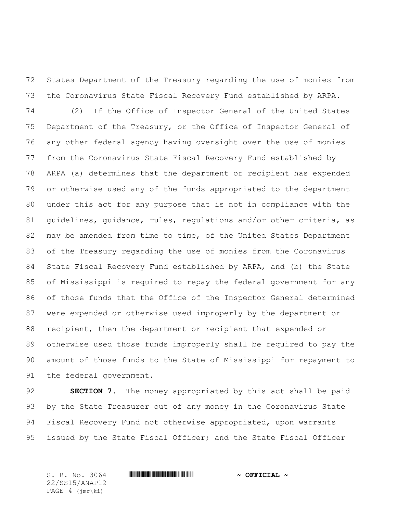States Department of the Treasury regarding the use of monies from the Coronavirus State Fiscal Recovery Fund established by ARPA.

 (2) If the Office of Inspector General of the United States Department of the Treasury, or the Office of Inspector General of any other federal agency having oversight over the use of monies from the Coronavirus State Fiscal Recovery Fund established by ARPA (a) determines that the department or recipient has expended or otherwise used any of the funds appropriated to the department under this act for any purpose that is not in compliance with the guidelines, guidance, rules, regulations and/or other criteria, as may be amended from time to time, of the United States Department of the Treasury regarding the use of monies from the Coronavirus State Fiscal Recovery Fund established by ARPA, and (b) the State of Mississippi is required to repay the federal government for any of those funds that the Office of the Inspector General determined were expended or otherwise used improperly by the department or recipient, then the department or recipient that expended or otherwise used those funds improperly shall be required to pay the amount of those funds to the State of Mississippi for repayment to the federal government.

 **SECTION 7.** The money appropriated by this act shall be paid by the State Treasurer out of any money in the Coronavirus State Fiscal Recovery Fund not otherwise appropriated, upon warrants issued by the State Fiscal Officer; and the State Fiscal Officer

22/SS15/ANAP12 PAGE 4 (jmr\ki)

## $S. B. No. 3064$  **\*Soft and the substitution of the set of predicipal**  $\sim$  **Official**  $\sim$